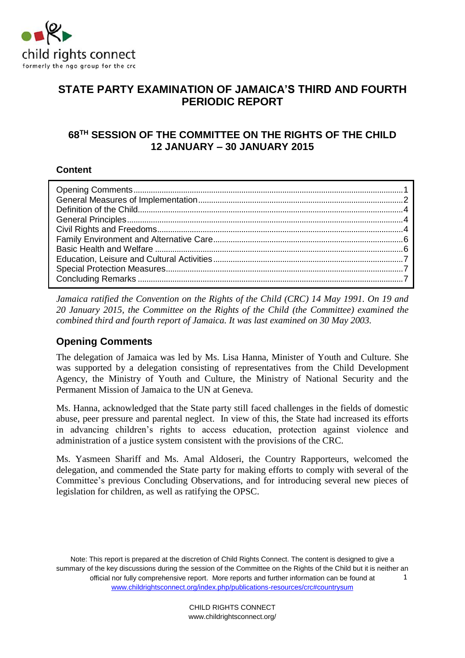

# **STATE PARTY EXAMINATION OF JAMAICA'S THIRD AND FOURTH PERIODIC REPORT**

# **68TH SESSION OF THE COMMITTEE ON THE RIGHTS OF THE CHILD 12 JANUARY – 30 JANUARY 2015**

# **Content**

*Jamaica ratified the Convention on the Rights of the Child (CRC) 14 May 1991. On 19 and 20 January 2015, the Committee on the Rights of the Child (the Committee) examined the combined third and fourth report of Jamaica. It was last examined on 30 May 2003.*

# <span id="page-0-0"></span>**Opening Comments**

The delegation of Jamaica was led by Ms. Lisa Hanna, Minister of Youth and Culture. She was supported by a delegation consisting of representatives from the Child Development Agency, the Ministry of Youth and Culture, the Ministry of National Security and the Permanent Mission of Jamaica to the UN at Geneva.

Ms. Hanna, acknowledged that the State party still faced challenges in the fields of domestic abuse, peer pressure and parental neglect. In view of this, the State had increased its efforts in advancing children's rights to access education, protection against violence and administration of a justice system consistent with the provisions of the CRC.

Ms. Yasmeen Shariff and Ms. Amal Aldoseri, the Country Rapporteurs, welcomed the delegation, and commended the State party for making efforts to comply with several of the Committee's previous Concluding Observations, and for introducing several new pieces of legislation for children, as well as ratifying the OPSC.

Note: This report is prepared at the discretion of Child Rights Connect. The content is designed to give a summary of the key discussions during the session of the Committee on the Rights of the Child but it is neither an official nor fully comprehensive report. More reports and further information can be found at [www.childrightsconnect.org/index.php/publications-resources/crc#countrysum](http://www.childrightsconnect.org/index.php/publications-resources/crc#countrysum) 1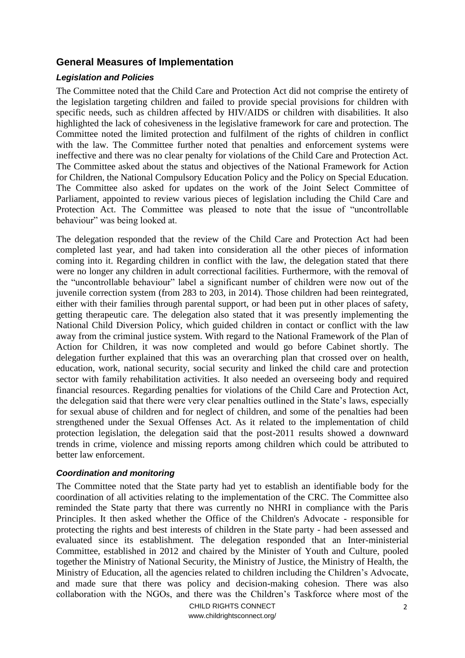# <span id="page-1-0"></span>**General Measures of Implementation**

#### *Legislation and Policies*

The Committee noted that the Child Care and Protection Act did not comprise the entirety of the legislation targeting children and failed to provide special provisions for children with specific needs, such as children affected by HIV/AIDS or children with disabilities. It also highlighted the lack of cohesiveness in the legislative framework for care and protection. The Committee noted the limited protection and fulfilment of the rights of children in conflict with the law. The Committee further noted that penalties and enforcement systems were ineffective and there was no clear penalty for violations of the Child Care and Protection Act. The Committee asked about the status and objectives of the National Framework for Action for Children, the National Compulsory Education Policy and the Policy on Special Education. The Committee also asked for updates on the work of the Joint Select Committee of Parliament, appointed to review various pieces of legislation including the Child Care and Protection Act. The Committee was pleased to note that the issue of "uncontrollable behaviour" was being looked at.

The delegation responded that the review of the Child Care and Protection Act had been completed last year, and had taken into consideration all the other pieces of information coming into it. Regarding children in conflict with the law, the delegation stated that there were no longer any children in adult correctional facilities. Furthermore, with the removal of the "uncontrollable behaviour" label a significant number of children were now out of the juvenile correction system (from 283 to 203, in 2014). Those children had been reintegrated, either with their families through parental support, or had been put in other places of safety, getting therapeutic care. The delegation also stated that it was presently implementing the National Child Diversion Policy, which guided children in contact or conflict with the law away from the criminal justice system. With regard to the National Framework of the Plan of Action for Children, it was now completed and would go before Cabinet shortly. The delegation further explained that this was an overarching plan that crossed over on health, education, work, national security, social security and linked the child care and protection sector with family rehabilitation activities. It also needed an overseeing body and required financial resources. Regarding penalties for violations of the Child Care and Protection Act, the delegation said that there were very clear penalties outlined in the State's laws, especially for sexual abuse of children and for neglect of children, and some of the penalties had been strengthened under the Sexual Offenses Act. As it related to the implementation of child protection legislation, the delegation said that the post-2011 results showed a downward trends in crime, violence and missing reports among children which could be attributed to better law enforcement.

#### *Coordination and monitoring*

The Committee noted that the State party had yet to establish an identifiable body for the coordination of all activities relating to the implementation of the CRC. The Committee also reminded the State party that there was currently no NHRI in compliance with the Paris Principles. It then asked whether the Office of the Children's Advocate - responsible for protecting the rights and best interests of children in the State party - had been assessed and evaluated since its establishment. The delegation responded that an Inter-ministerial Committee, established in 2012 and chaired by the Minister of Youth and Culture, pooled together the Ministry of National Security, the Ministry of Justice, the Ministry of Health, the Ministry of Education, all the agencies related to children including the Children's Advocate, and made sure that there was policy and decision-making cohesion. There was also collaboration with the NGOs, and there was the Children's Taskforce where most of the

> CHILD RIGHTS CONNECT www.childrightsconnect.org/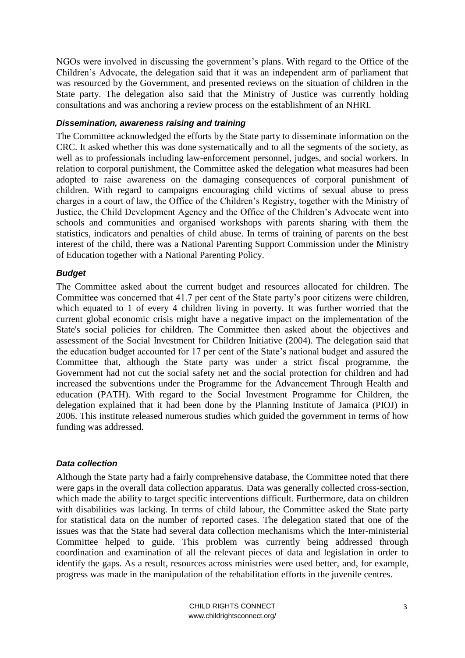NGOs were involved in discussing the government's plans. With regard to the Office of the Children's Advocate, the delegation said that it was an independent arm of parliament that was resourced by the Government, and presented reviews on the situation of children in the State party. The delegation also said that the Ministry of Justice was currently holding consultations and was anchoring a review process on the establishment of an NHRI.

#### *Dissemination, awareness raising and training*

The Committee acknowledged the efforts by the State party to disseminate information on the CRC. It asked whether this was done systematically and to all the segments of the society, as well as to professionals including law-enforcement personnel, judges, and social workers. In relation to corporal punishment, the Committee asked the delegation what measures had been adopted to raise awareness on the damaging consequences of corporal punishment of children. With regard to campaigns encouraging child victims of sexual abuse to press charges in a court of law, the Office of the Children's Registry, together with the Ministry of Justice, the Child Development Agency and the Office of the Children's Advocate went into schools and communities and organised workshops with parents sharing with them the statistics, indicators and penalties of child abuse. In terms of training of parents on the best interest of the child, there was a National Parenting Support Commission under the Ministry of Education together with a National Parenting Policy.

#### *Budget*

The Committee asked about the current budget and resources allocated for children. The Committee was concerned that 41.7 per cent of the State party's poor citizens were children, which equated to 1 of every 4 children living in poverty. It was further worried that the current global economic crisis might have a negative impact on the implementation of the State's social policies for children. The Committee then asked about the objectives and assessment of the Social Investment for Children Initiative (2004). The delegation said that the education budget accounted for 17 per cent of the State's national budget and assured the Committee that, although the State party was under a strict fiscal programme, the Government had not cut the social safety net and the social protection for children and had increased the subventions under the Programme for the Advancement Through Health and education (PATH). With regard to the Social Investment Programme for Children, the delegation explained that it had been done by the Planning Institute of Jamaica (PIOJ) in 2006. This institute released numerous studies which guided the government in terms of how funding was addressed.

#### *Data collection*

Although the State party had a fairly comprehensive database, the Committee noted that there were gaps in the overall data collection apparatus. Data was generally collected cross-section, which made the ability to target specific interventions difficult. Furthermore, data on children with disabilities was lacking. In terms of child labour, the Committee asked the State party for statistical data on the number of reported cases. The delegation stated that one of the issues was that the State had several data collection mechanisms which the Inter-ministerial Committee helped to guide. This problem was currently being addressed through coordination and examination of all the relevant pieces of data and legislation in order to identify the gaps. As a result, resources across ministries were used better, and, for example, progress was made in the manipulation of the rehabilitation efforts in the juvenile centres.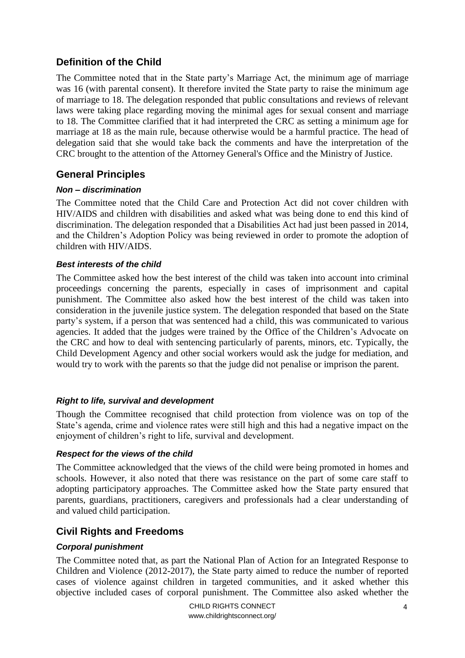# <span id="page-3-0"></span>**Definition of the Child**

The Committee noted that in the State party's Marriage Act, the minimum age of marriage was 16 (with parental consent). It therefore invited the State party to raise the minimum age of marriage to 18. The delegation responded that public consultations and reviews of relevant laws were taking place regarding moving the minimal ages for sexual consent and marriage to 18. The Committee clarified that it had interpreted the CRC as setting a minimum age for marriage at 18 as the main rule, because otherwise would be a harmful practice. The head of delegation said that she would take back the comments and have the interpretation of the CRC brought to the attention of the Attorney General's Office and the Ministry of Justice.

# <span id="page-3-1"></span>**General Principles**

## *Non – discrimination*

The Committee noted that the Child Care and Protection Act did not cover children with HIV/AIDS and children with disabilities and asked what was being done to end this kind of discrimination. The delegation responded that a Disabilities Act had just been passed in 2014, and the Children's Adoption Policy was being reviewed in order to promote the adoption of children with HIV/AIDS.

### *Best interests of the child*

The Committee asked how the best interest of the child was taken into account into criminal proceedings concerning the parents, especially in cases of imprisonment and capital punishment. The Committee also asked how the best interest of the child was taken into consideration in the juvenile justice system. The delegation responded that based on the State party's system, if a person that was sentenced had a child, this was communicated to various agencies. It added that the judges were trained by the Office of the Children's Advocate on the CRC and how to deal with sentencing particularly of parents, minors, etc. Typically, the Child Development Agency and other social workers would ask the judge for mediation, and would try to work with the parents so that the judge did not penalise or imprison the parent.

### *Right to life, survival and development*

Though the Committee recognised that child protection from violence was on top of the State's agenda, crime and violence rates were still high and this had a negative impact on the enjoyment of children's right to life, survival and development.

### *Respect for the views of the child*

The Committee acknowledged that the views of the child were being promoted in homes and schools. However, it also noted that there was resistance on the part of some care staff to adopting participatory approaches. The Committee asked how the State party ensured that parents, guardians, practitioners, caregivers and professionals had a clear understanding of and valued child participation.

# <span id="page-3-2"></span>**Civil Rights and Freedoms**

# *Corporal punishment*

The Committee noted that, as part the National Plan of Action for an Integrated Response to Children and Violence (2012-2017), the State party aimed to reduce the number of reported cases of violence against children in targeted communities, and it asked whether this objective included cases of corporal punishment. The Committee also asked whether the

> CHILD RIGHTS CONNECT www.childrightsconnect.org/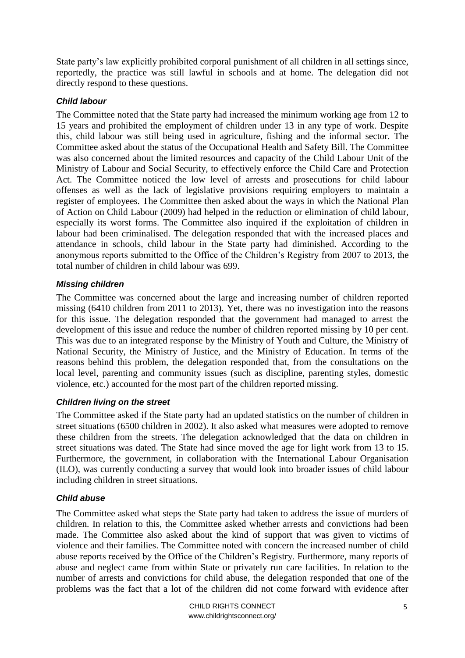State party's law explicitly prohibited corporal punishment of all children in all settings since, reportedly, the practice was still lawful in schools and at home. The delegation did not directly respond to these questions.

### *Child labour*

The Committee noted that the State party had increased the minimum working age from 12 to 15 years and prohibited the employment of children under 13 in any type of work. Despite this, child labour was still being used in agriculture, fishing and the informal sector. The Committee asked about the status of the Occupational Health and Safety Bill. The Committee was also concerned about the limited resources and capacity of the Child Labour Unit of the Ministry of Labour and Social Security, to effectively enforce the Child Care and Protection Act. The Committee noticed the low level of arrests and prosecutions for child labour offenses as well as the lack of legislative provisions requiring employers to maintain a register of employees. The Committee then asked about the ways in which the National Plan of Action on Child Labour (2009) had helped in the reduction or elimination of child labour, especially its worst forms. The Committee also inquired if the exploitation of children in labour had been criminalised. The delegation responded that with the increased places and attendance in schools, child labour in the State party had diminished. According to the anonymous reports submitted to the Office of the Children's Registry from 2007 to 2013, the total number of children in child labour was 699.

## *Missing children*

The Committee was concerned about the large and increasing number of children reported missing (6410 children from 2011 to 2013). Yet, there was no investigation into the reasons for this issue. The delegation responded that the government had managed to arrest the development of this issue and reduce the number of children reported missing by 10 per cent. This was due to an integrated response by the Ministry of Youth and Culture, the Ministry of National Security, the Ministry of Justice, and the Ministry of Education. In terms of the reasons behind this problem, the delegation responded that, from the consultations on the local level, parenting and community issues (such as discipline, parenting styles, domestic violence, etc.) accounted for the most part of the children reported missing.

### *Children living on the street*

The Committee asked if the State party had an updated statistics on the number of children in street situations (6500 children in 2002). It also asked what measures were adopted to remove these children from the streets. The delegation acknowledged that the data on children in street situations was dated. The State had since moved the age for light work from 13 to 15. Furthermore, the government, in collaboration with the International Labour Organisation (ILO), was currently conducting a survey that would look into broader issues of child labour including children in street situations.

# *Child abuse*

The Committee asked what steps the State party had taken to address the issue of murders of children. In relation to this, the Committee asked whether arrests and convictions had been made. The Committee also asked about the kind of support that was given to victims of violence and their families. The Committee noted with concern the increased number of child abuse reports received by the Office of the Children's Registry. Furthermore, many reports of abuse and neglect came from within State or privately run care facilities. In relation to the number of arrests and convictions for child abuse, the delegation responded that one of the problems was the fact that a lot of the children did not come forward with evidence after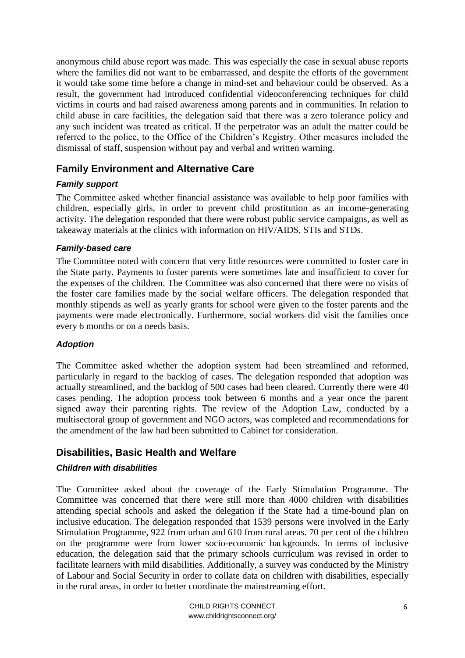anonymous child abuse report was made. This was especially the case in sexual abuse reports where the families did not want to be embarrassed, and despite the efforts of the government it would take some time before a change in mind-set and behaviour could be observed. As a result, the government had introduced confidential videoconferencing techniques for child victims in courts and had raised awareness among parents and in communities. In relation to child abuse in care facilities, the delegation said that there was a zero tolerance policy and any such incident was treated as critical. If the perpetrator was an adult the matter could be referred to the police, to the Office of the Children's Registry. Other measures included the dismissal of staff, suspension without pay and verbal and written warning.

# <span id="page-5-0"></span>**Family Environment and Alternative Care**

### *Family support*

The Committee asked whether financial assistance was available to help poor families with children, especially girls, in order to prevent child prostitution as an income-generating activity. The delegation responded that there were robust public service campaigns, as well as takeaway materials at the clinics with information on HIV/AIDS, STIs and STDs.

#### *Family-based care*

The Committee noted with concern that very little resources were committed to foster care in the State party. Payments to foster parents were sometimes late and insufficient to cover for the expenses of the children. The Committee was also concerned that there were no visits of the foster care families made by the social welfare officers. The delegation responded that monthly stipends as well as yearly grants for school were given to the foster parents and the payments were made electronically. Furthermore, social workers did visit the families once every 6 months or on a needs basis.

#### *Adoption*

The Committee asked whether the adoption system had been streamlined and reformed, particularly in regard to the backlog of cases. The delegation responded that adoption was actually streamlined, and the backlog of 500 cases had been cleared. Currently there were 40 cases pending. The adoption process took between 6 months and a year once the parent signed away their parenting rights. The review of the Adoption Law, conducted by a multisectoral group of government and NGO actors, was completed and recommendations for the amendment of the law had been submitted to Cabinet for consideration.

# <span id="page-5-1"></span>**Disabilities, Basic Health and Welfare**

### *Children with disabilities*

The Committee asked about the coverage of the Early Stimulation Programme. The Committee was concerned that there were still more than 4000 children with disabilities attending special schools and asked the delegation if the State had a time-bound plan on inclusive education. The delegation responded that 1539 persons were involved in the Early Stimulation Programme, 922 from urban and 610 from rural areas. 70 per cent of the children on the programme were from lower socio-economic backgrounds. In terms of inclusive education, the delegation said that the primary schools curriculum was revised in order to facilitate learners with mild disabilities. Additionally, a survey was conducted by the Ministry of Labour and Social Security in order to collate data on children with disabilities, especially in the rural areas, in order to better coordinate the mainstreaming effort.